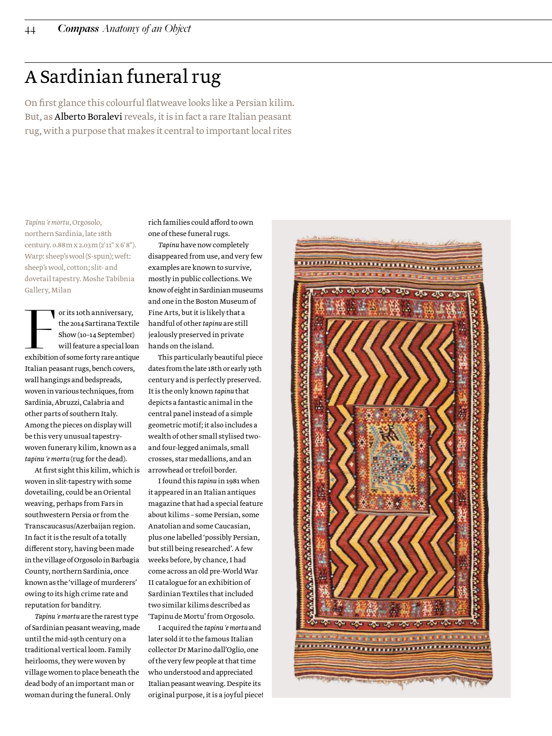## A Sardinian funeral rug

On first glance this colourful flatweave looks like a Persian kilim. But, as Alberto Boralevi reveals, it is in fact a rare Italian peasant rug, with a purpose that makes it central to important local rites

*Tapinu 'e mortu*, Orgosolo, northern Sardinia, late 18th century. 0.88 m x 2.03 m (2' 11" x 6' 8"). Warp: sheep's wool (S-spun); weft: sheep's wool, cotton; slit- and dovetail tapestry. Moshe Tabibnia Gallery, Milan

or its 10th anniversary,<br>the 2014 Sartirana Textile<br>Show (10-14 September)<br>will feature a special loan<br>exhibition of some forty rare antique the 2014 Sartirana Textile Show (10–14 September) will feature a special loan Italian peasant rugs, bench covers, wall hangings and bedspreads, woven in various techniques, from Sardinia, Abruzzi, Calabria and other parts of southern Italy. Among the pieces on display will be this very unusual tapestrywoven funerary kilim, known as a *tapinu 'e mortu* (rug for the dead).

At first sight this kilim, which is woven in slit-tapestry with some dovetailing, could be an Oriental weaving, perhaps from Fars in southwestern Persia or from the Transcaucasus/Azerbaijan region. In fact it is the result of a totally different story, having been made in the village of Orgosolo in Barbagia County, northern Sardinia, once known as the 'village of murderers' owing to its high crime rate and reputation for banditry.

*Tapinu 'e mortu* are the rarest type of Sardinian peasant weaving, made until the mid-19th century on a traditional vertical loom. Family heirlooms, they were woven by village women to place beneath the dead body of an important man or woman during the funeral. Only

rich families could afford to own one of these funeral rugs.

*Tapinu* have now completely disappeared from use, and very few examples are known to survive, mostly in public collections. We know of eight in Sardinian museums and one in the Boston Museum of Fine Arts, but it is likely that a handful of other *tapinu* are still jealously preserved in private hands on the island.

This particularly beautiful piece dates from the late 18th or early 19th century and is perfectly preserved. It is the only known *tapinu* that depicts a fantastic animal in the central panel instead of a simple geometric motif; it also includes a wealth of other small stylised twoand four-legged animals, small crosses, star medallions, and an arrowhead or trefoil border.

I found this *tapinu* in 1981 when it appeared in an Italian antiques magazine that had a special feature about kilims – some Persian, some Anatolian and some Caucasian, plus one labelled 'possibly Persian, but still being researched'. A few weeks before, by chance, I had come across an old pre-World War II catalogue for an exhibition of Sardinian Textiles that included two similar kilims described as 'Tapinu de Mortu' from Orgosolo.

I acquired the *tapinu 'e mortu* and later sold it to the famous Italian collector Dr Marino dall'Oglio, one of the very few people at that time who understood and appreciated Italian peasant weaving. Despite its original purpose, it is a joyful piece!